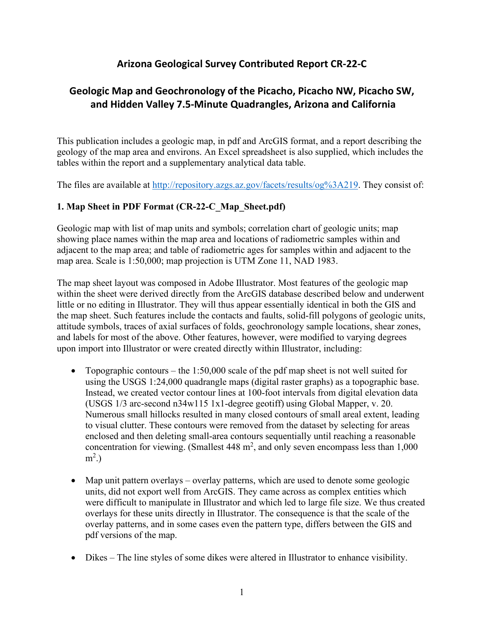## **Arizona Geological Survey Contributed Report CR-22-C**

# **Geologic Map and Geochronology of the Picacho, Picacho NW, Picacho SW, and Hidden Valley 7.5-Minute Quadrangles, Arizona and California**

This publication includes a geologic map, in pdf and ArcGIS format, and a report describing the geology of the map area and environs. An Excel spreadsheet is also supplied, which includes the tables within the report and a supplementary analytical data table.

The files are available at [http://repository.azgs.az.gov/facets/results/og%3A219.](http://repository.azgs.az.gov/facets/results/og%3A219) They consist of:

#### **1. Map Sheet in PDF Format (CR-22-C\_Map\_Sheet.pdf)**

Geologic map with list of map units and symbols; correlation chart of geologic units; map showing place names within the map area and locations of radiometric samples within and adjacent to the map area; and table of radiometric ages for samples within and adjacent to the map area. Scale is 1:50,000; map projection is UTM Zone 11, NAD 1983.

The map sheet layout was composed in Adobe Illustrator. Most features of the geologic map within the sheet were derived directly from the ArcGIS database described below and underwent little or no editing in Illustrator. They will thus appear essentially identical in both the GIS and the map sheet. Such features include the contacts and faults, solid-fill polygons of geologic units, attitude symbols, traces of axial surfaces of folds, geochronology sample locations, shear zones, and labels for most of the above. Other features, however, were modified to varying degrees upon import into Illustrator or were created directly within Illustrator, including:

- Topographic contours the  $1:50,000$  scale of the pdf map sheet is not well suited for using the USGS 1:24,000 quadrangle maps (digital raster graphs) as a topographic base. Instead, we created vector contour lines at 100-foot intervals from digital elevation data (USGS 1/3 arc-second n34w115 1x1-degree geotiff) using Global Mapper, v. 20. Numerous small hillocks resulted in many closed contours of small areal extent, leading to visual clutter. These contours were removed from the dataset by selecting for areas enclosed and then deleting small-area contours sequentially until reaching a reasonable concentration for viewing. (Smallest  $448 \text{ m}^2$ , and only seven encompass less than 1,000  $m^2$ .)
- Map unit pattern overlays overlay patterns, which are used to denote some geologic units, did not export well from ArcGIS. They came across as complex entities which were difficult to manipulate in Illustrator and which led to large file size. We thus created overlays for these units directly in Illustrator. The consequence is that the scale of the overlay patterns, and in some cases even the pattern type, differs between the GIS and pdf versions of the map.
- Dikes The line styles of some dikes were altered in Illustrator to enhance visibility.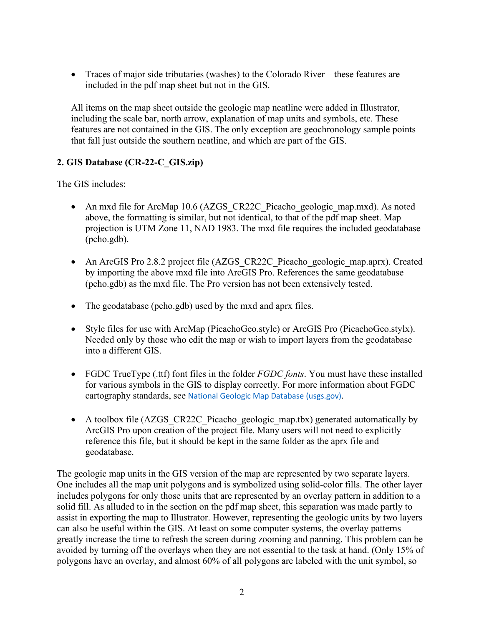• Traces of major side tributaries (washes) to the Colorado River – these features are included in the pdf map sheet but not in the GIS.

All items on the map sheet outside the geologic map neatline were added in Illustrator, including the scale bar, north arrow, explanation of map units and symbols, etc. These features are not contained in the GIS. The only exception are geochronology sample points that fall just outside the southern neatline, and which are part of the GIS.

#### **2. GIS Database (CR-22-C\_GIS.zip)**

The GIS includes:

- An mxd file for ArcMap 10.6 (AZGS\_CR22C\_Picacho\_geologic\_map.mxd). As noted above, the formatting is similar, but not identical, to that of the pdf map sheet. Map projection is UTM Zone 11, NAD 1983. The mxd file requires the included geodatabase (pcho.gdb).
- An ArcGIS Pro 2.8.2 project file (AZGS\_CR22C\_Picacho\_geologic\_map.aprx). Created by importing the above mxd file into ArcGIS Pro. References the same geodatabase (pcho.gdb) as the mxd file. The Pro version has not been extensively tested.
- The geodatabase (pcho.gdb) used by the mxd and aprx files.
- Style files for use with ArcMap (PicachoGeo.style) or ArcGIS Pro (PicachoGeo.stylx). Needed only by those who edit the map or wish to import layers from the geodatabase into a different GIS.
- FGDC TrueType (.ttf) font files in the folder *FGDC fonts*. You must have these installed for various symbols in the GIS to display correctly. For more information about FGDC cartography standards, see [National Geologic Map Database \(usgs.gov\).](https://ngmdb.usgs.gov/Info/standards/)
- A toolbox file (AZGS\_CR22C\_Picacho\_geologic\_map.tbx) generated automatically by ArcGIS Pro upon creation of the project file. Many users will not need to explicitly reference this file, but it should be kept in the same folder as the aprx file and geodatabase.

The geologic map units in the GIS version of the map are represented by two separate layers. One includes all the map unit polygons and is symbolized using solid-color fills. The other layer includes polygons for only those units that are represented by an overlay pattern in addition to a solid fill. As alluded to in the section on the pdf map sheet, this separation was made partly to assist in exporting the map to Illustrator. However, representing the geologic units by two layers can also be useful within the GIS. At least on some computer systems, the overlay patterns greatly increase the time to refresh the screen during zooming and panning. This problem can be avoided by turning off the overlays when they are not essential to the task at hand. (Only 15% of polygons have an overlay, and almost 60% of all polygons are labeled with the unit symbol, so